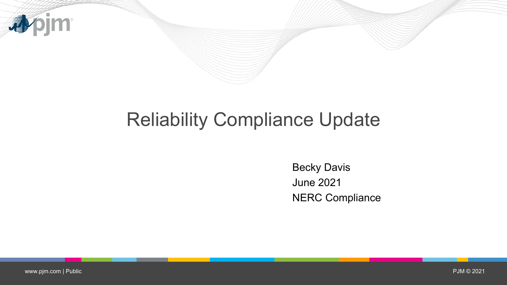

# Reliability Compliance Update

Becky Davis June 2021 NERC Compliance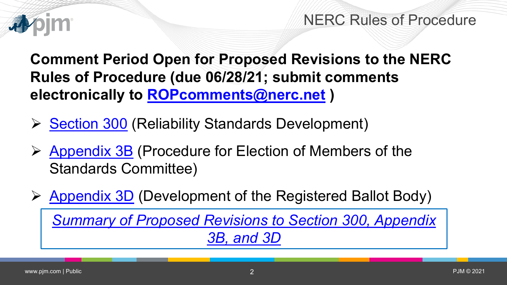

NERC Rules of Procedure

**Comment Period Open for Proposed Revisions to the NERC Rules of Procedure (due 06/28/21; submit comments electronically to [ROPcomments@nerc.net](mailto:ROPcomments@nerc.net) )**

- $\triangleright$  [Section 300](https://www.nerc.com/AboutNERC/RulesOfProcedure/ROP%20SECTION%20300_redline%20to%20currently%20effective.pdf) (Reliability Standards Development)
- ▶ [Appendix 3B](https://www.nerc.com/AboutNERC/RulesOfProcedure/Appendix_3B_Election_StandardsCommittee_Procedures_redline%20to%20last%20approved.pdf) (Procedure for Election of Members of the Standards Committee)
- $\triangleright$  [Appendix 3D](https://www.nerc.com/AboutNERC/RulesOfProcedure/Appendix_3D_BallotBodyCriteria_redline%20to%20last%20approved.pdf) (Development of the Registered Ballot Body)

*[Summary of Proposed Revisions to Section 300, Appendix](https://www.nerc.com/AboutNERC/RulesOfProcedure/Summary%20of%20Revisions%20to%20Sections%20300,%20Appx%203B,%203D.pdf)  3B, and 3D*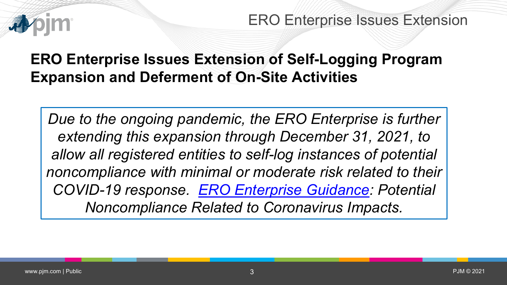

ERO Enterprise Issues Extension

## **ERO Enterprise Issues Extension of Self-Logging Program Expansion and Deferment of On-Site Activities**

*Due to the ongoing pandemic, the ERO Enterprise is further extending this expansion through December 31, 2021, to allow all registered entities to self-log instances of potential noncompliance with minimal or moderate risk related to their COVID-19 response. [ERO Enterprise Guidance](https://www.nerc.com/pa/comp/CAOneStopShop/ERO%20Enterprise%20Guidance%20Potential%20Noncompliance%20Related%20to%20Coronavirus%20Impacts.pdf): Potential Noncompliance Related to Coronavirus Impacts.*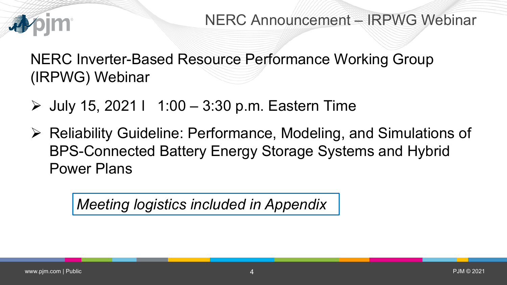

NERC Inverter-Based Resource Performance Working Group (IRPWG) Webinar

 $\triangleright$  July 15, 2021 | 1:00 – 3:30 p.m. Eastern Time

 Reliability Guideline: Performance, Modeling, and Simulations of BPS-Connected Battery Energy Storage Systems and Hybrid Power Plans

*Meeting logistics included in Appendix*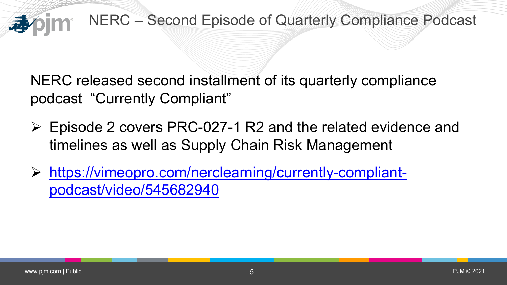

NERC released second installment of its quarterly compliance podcast "Currently Compliant"

- Episode 2 covers PRC-027-1 R2 and the related evidence and timelines as well as Supply Chain Risk Management
- [https://vimeopro.com/nerclearning/currently-compliant](https://vimeopro.com/nerclearning/currently-compliant-podcast/video/545682940)podcast/video/545682940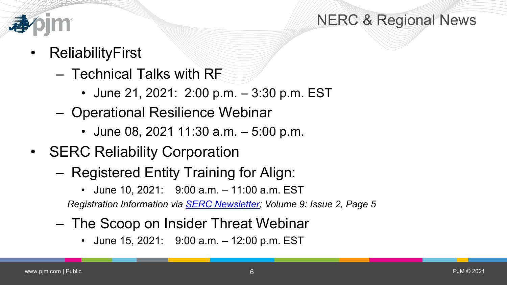

### NERC & Regional News

- **ReliabilityFirst** 
	- Technical Talks with RF
		- June 21, 2021: 2:00 p.m. 3:30 p.m. EST
	- Operational Resilience Webinar
		- June 08, 2021 11:30 a.m. 5:00 p.m.
- SERC Reliability Corporation
	- Registered Entity Training for Align:
		- June 10, 2021: 9:00 a.m. 11:00 a.m. EST

*Registration Information via [SERC Newsletter;](https://indd.adobe.com/view/66128b0b-6271-4e9c-a52d-aa66a31cebb7) Volume 9: Issue 2, Page 5*

- The Scoop on Insider Threat Webinar
	- June 15, 2021: 9:00 a.m. 12:00 p.m. EST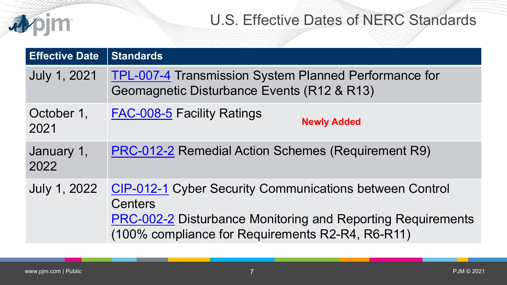## U.S. Effective Dates of NERC Standards

| <b>Effective Date</b> | <b>Standards</b>                                                                                                       |
|-----------------------|------------------------------------------------------------------------------------------------------------------------|
| <b>July 1, 2021</b>   | <b>TPL-007-4 Transmission System Planned Performance for</b><br>Geomagnetic Disturbance Events (R12 & R13)             |
| October 1,<br>2021    | <b>FAC-008-5 Facility Ratings</b><br><b>Newly Added</b>                                                                |
| January 1,<br>2022    | <b>PRC-012-2 Remedial Action Schemes (Requirement R9)</b>                                                              |
| July 1, 2022          | <b>CIP-012-1 Cyber Security Communications between Control</b><br><b>Centers</b>                                       |
|                       | <b>PRC-002-2 Disturbance Monitoring and Reporting Requirements</b><br>(100% compliance for Requirements R2-R4, R6-R11) |

apjm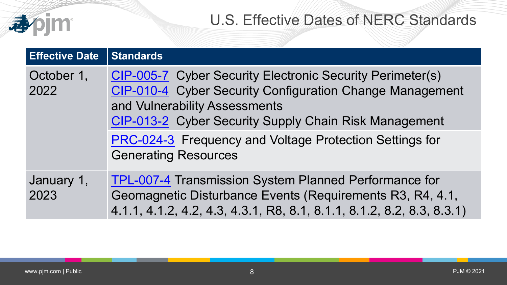|                       | <b>U.S. Effective Dates of NERC Standards</b>                                                                                                                                                                                                                                                                    |
|-----------------------|------------------------------------------------------------------------------------------------------------------------------------------------------------------------------------------------------------------------------------------------------------------------------------------------------------------|
| <b>Effective Date</b> | <b>Standards</b>                                                                                                                                                                                                                                                                                                 |
| October 1,<br>2022    | <b>CIP-005-7</b> Cyber Security Electronic Security Perimeter(s)<br>CIP-010-4 Cyber Security Configuration Change Management<br>and Vulnerability Assessments<br>CIP-013-2 Cyber Security Supply Chain Risk Management<br>PRC-024-3 Frequency and Voltage Protection Settings for<br><b>Generating Resources</b> |
| January 1,<br>2023    | <b>TPL-007-4 Transmission System Planned Performance for</b><br>Geomagnetic Disturbance Events (Requirements R3, R4, 4.1,<br>4.1.1, 4.1.2, 4.2, 4.3, 4.3.1, R8, 8.1, 8.1.1, 8.1.2, 8.2, 8.3, 8.3.1)                                                                                                              |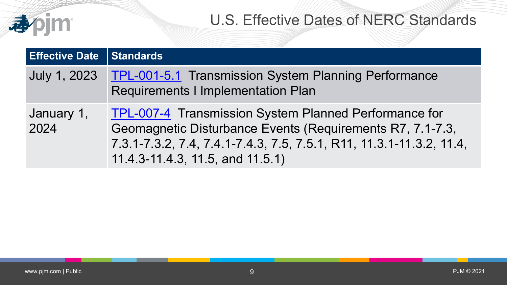### U.S. Effective Dates of NERC Standards

| <b>Effective Date</b> | Standards                                                                                                                                                                                                                      |
|-----------------------|--------------------------------------------------------------------------------------------------------------------------------------------------------------------------------------------------------------------------------|
| July 1, 2023          | <b>TPL-001-5.1 Transmission System Planning Performance</b><br>Requirements I Implementation Plan                                                                                                                              |
| January 1,<br>2024    | TPL-007-4 Transmission System Planned Performance for<br>Geomagnetic Disturbance Events (Requirements R7, 7.1-7.3,<br>7.3.1-7.3.2, 7.4, 7.4.1-7.4.3, 7.5, 7.5.1, R11, 11.3.1-11.3.2, 11.4,<br>11.4.3-11.4.3, 11.5, and 11.5.1) |

**心**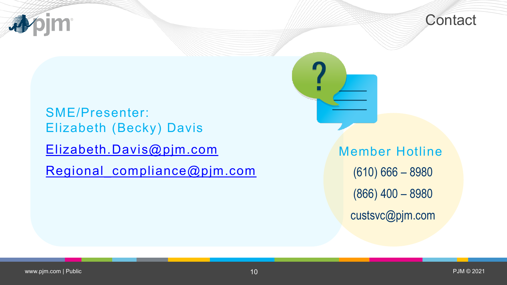



SME/Presenter: Elizabeth (Becky) Davis [Elizabeth.Davis@pjm.com](mailto:Elizabeth.Davis@pjm.com)

Regional compliance@pjm.com

Member Hotline (610) 666 – 8980 (866) 400 – 8980 custsvc@pjm.com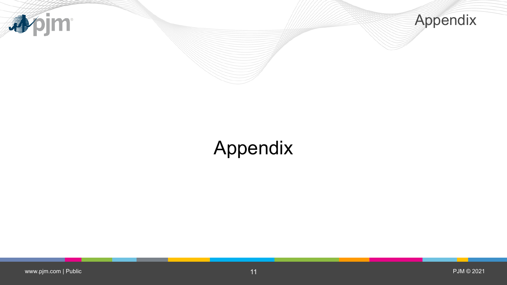



# Appendix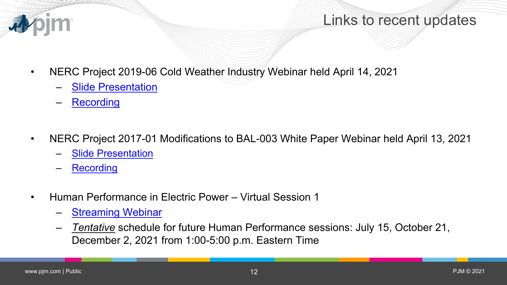

#### Links to recent updates

- NERC Project 2019-06 Cold Weather Industry Webinar held April 14, 2021
	- **[Slide Presentation](https://www.nerc.com/pa/Stand/Project%20201906%20Cold%20Weather%20DL/2019-06_Cold_Weather_Industry_Webinar_Slides_04142021.pdf)**
	- [Recording](https://nerc.webex.com/recordingservice/sites/nerc/recording/2c00906c613a414ea2c531c79d3a36d1/playback)
- NERC Project 2017-01 Modifications to BAL-003 White Paper Webinar held April 13, 2021
	- [Slide Presentation](https://www.nerc.com/pa/Stand/Project201701ModificationstoBAL00311RF/2017-01_Industry%20Webinar%20on%20White%20Paper_04132021_Final.pdf)
	- **[Recording](https://nerc.webex.com/nerc/lsr.php?RCID=669ceac238564cdbb478e30f8178e30a)**
- Human Performance in Electric Power Virtual Session 1
	- [Streaming Webinar](https://knowledgevine.com/human-performance-in-electric-power/)
	- *Tentative* schedule for future Human Performance sessions: July 15, October 21, December 2, 2021 from 1:00-5:00 p.m. Eastern Time